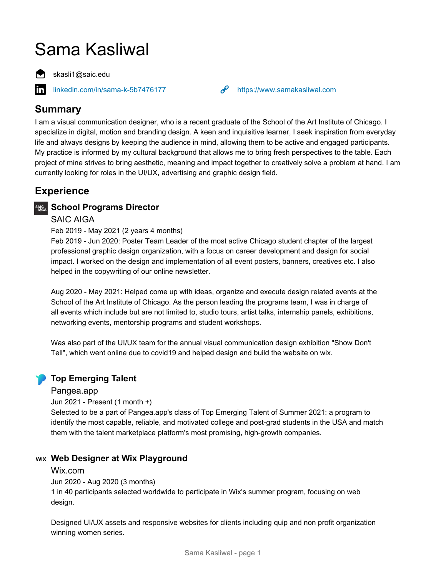# Sama Kasliwal

skasli1@saic.edu

[linkedin.com/in/sama-k-5b7476177](https://www.linkedin.com/in/sama-k-5b7476177) **<https://www.samakasliwal.com>** 

# **Summary**

in

I am a visual communication designer, who is a recent graduate of the School of the Art Institute of Chicago. I specialize in digital, motion and branding design. A keen and inquisitive learner, I seek inspiration from everyday life and always designs by keeping the audience in mind, allowing them to be active and engaged participants. My practice is informed by my cultural background that allows me to bring fresh perspectives to the table. Each project of mine strives to bring aesthetic, meaning and impact together to creatively solve a problem at hand. I am currently looking for roles in the UI/UX, advertising and graphic design field.

# **Experience**

# **School Programs Director**

## SAIC AIGA

#### Feb 2019 - May 2021 (2 years 4 months)

Feb 2019 - Jun 2020: Poster Team Leader of the most active Chicago student chapter of the largest professional graphic design organization, with a focus on career development and design for social impact. I worked on the design and implementation of all event posters, banners, creatives etc. I also helped in the copywriting of our online newsletter.

Aug 2020 - May 2021: Helped come up with ideas, organize and execute design related events at the School of the Art Institute of Chicago. As the person leading the programs team, I was in charge of all events which include but are not limited to, studio tours, artist talks, internship panels, exhibitions, networking events, mentorship programs and student workshops.

Was also part of the UI/UX team for the annual visual communication design exhibition "Show Don't Tell", which went online due to covid19 and helped design and build the website on wix.

# **Top Emerging Talent**

#### Pangea.app

Jun 2021 - Present (1 month +)

Selected to be a part of Pangea.app's class of Top Emerging Talent of Summer 2021: a program to identify the most capable, reliable, and motivated college and post-grad students in the USA and match them with the talent marketplace platform's most promising, high-growth companies.

## **Web Designer at Wix Playground**

#### Wix.com

Jun 2020 - Aug 2020 (3 months)

1 in 40 participants selected worldwide to participate in Wix's summer program, focusing on web design.

Designed UI/UX assets and responsive websites for clients including quip and non profit organization winning women series.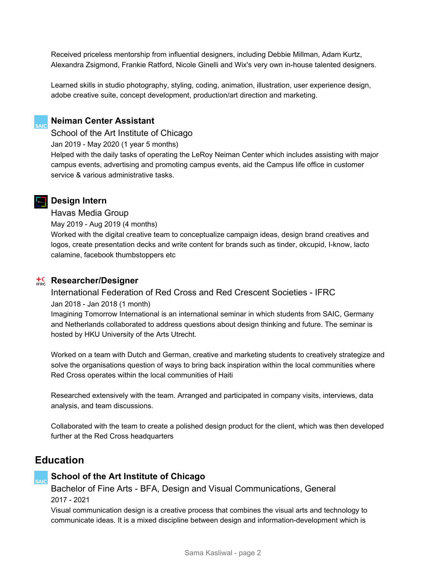Received priceless mentorship from influential designers, including Debbie Millman, Adam Kurtz, Alexandra Zsigmond, Frankie Ratford, Nicole Ginelli and Wix's very own in-house talented designers.

Learned skills in studio photography, styling, coding, animation, illustration, user experience design, adobe creative suite, concept development, production/art direction and marketing.



#### **Neiman Center Assistant**

School of the Art Institute of Chicago

Jan 2019 - May 2020 (1 year 5 months)

Helped with the daily tasks of operating the LeRoy Neiman Center which includes assisting with major campus events, advertising and promoting campus events, aid the Campus life office in customer service & various administrative tasks.

## **Design Intern**

#### Havas Media Group

May 2019 - Aug 2019 (4 months)

Worked with the digital creative team to conceptualize campaign ideas, design brand creatives and logos, create presentation decks and write content for brands such as tinder, okcupid, I-know, lacto calamine, facebook thumbstoppers etc

#### **Researcher/Designer**

#### International Federation of Red Cross and Red Crescent Societies - IFRC Jan 2018 - Jan 2018 (1 month)

Imagining Tomorrow International is an international seminar in which students from SAIC, Germany and Netherlands collaborated to address questions about design thinking and future. The seminar is hosted by HKU University of the Arts Utrecht.

Worked on a team with Dutch and German, creative and marketing students to creatively strategize and solve the organisations question of ways to bring back inspiration within the local communities where Red Cross operates within the local communities of Haiti

Researched extensively with the team. Arranged and participated in company visits, interviews, data analysis, and team discussions.

Collaborated with the team to create a polished design product for the client, which was then developed further at the Red Cross headquarters

# **Education**

## **School of the Art Institute of Chicago**

Bachelor of Fine Arts - BFA, Design and Visual Communications, General 2017 - 2021

Visual communication design is a creative process that combines the visual arts and technology to communicate ideas. It is a mixed discipline between design and information-development which is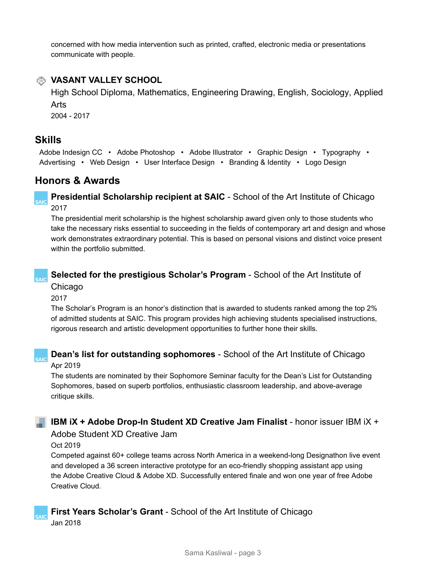concerned with how media intervention such as printed, crafted, electronic media or presentations communicate with people.



# **VASANT VALLEY SCHOOL**

High School Diploma, Mathematics, Engineering Drawing, English, Sociology, Applied Arts

2004 - 2017

# **Skills**

**CAIC** 

**SAIC** 

Adobe Indesign CC • Adobe Photoshop • Adobe Illustrator • Graphic Design • Typography • Advertising • Web Design • User Interface Design • Branding & Identity • Logo Design

# **Honors & Awards**

**Presidential Scholarship recipient at SAIC** - School of the Art Institute of Chicago 2017

The presidential merit scholarship is the highest scholarship award given only to those students who take the necessary risks essential to succeeding in the fields of contemporary art and design and whose work demonstrates extraordinary potential. This is based on personal visions and distinct voice present within the portfolio submitted.

## **Selected for the prestigious Scholar's Program** - School of the Art Institute of Chicago

2017

The Scholar's Program is an honor's distinction that is awarded to students ranked among the top 2% of admitted students at SAIC. This program provides high achieving students specialised instructions, rigorous research and artistic development opportunities to further hone their skills.

**Dean's list for outstanding sophomores** - School of the Art Institute of Chicago Apr 2019

The students are nominated by their Sophomore Seminar faculty for the Dean's List for Outstanding Sophomores, based on superb portfolios, enthusiastic classroom leadership, and above-average critique skills.

# **IBM iX + Adobe Drop-In Student XD Creative Jam Finalist** - honor issuer IBM iX +

Adobe Student XD Creative Jam

#### Oct 2019

Competed against 60+ college teams across North America in a weekend-long Designathon live event and developed a 36 screen interactive prototype for an eco-friendly shopping assistant app using the Adobe Creative Cloud & Adobe XD. Successfully entered finale and won one year of free Adobe Creative Cloud.

# **First Years Scholar's Grant** - School of the Art Institute of Chicago

Jan 2018